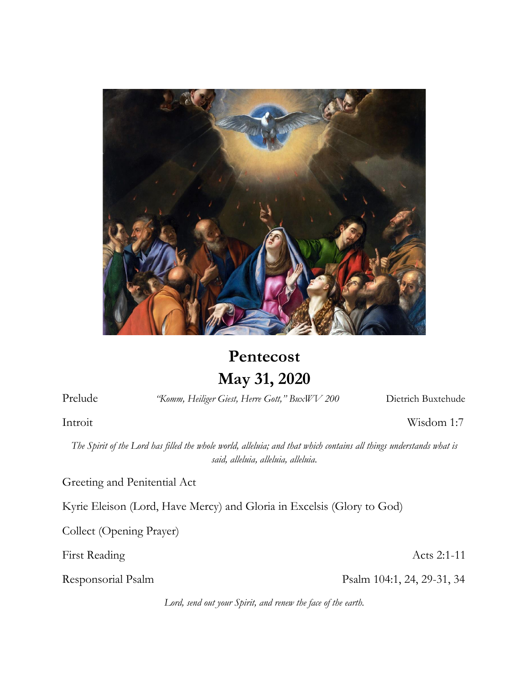

# **Pentecost May 31, 2020**

Prelude *"Komm, Heiliger Giest, Herre Gott," BuxWV 200* Dietrich Buxtehude

Introit Wisdom 1:7

*The Spirit of the Lord has filled the whole world, alleluia; and that which contains all things understands what is said, alleluia, alleluia, alleluia.*

Greeting and Penitential Act

Kyrie Eleison (Lord, Have Mercy) and Gloria in Excelsis (Glory to God)

Collect (Opening Prayer)

First Reading Acts 2:1-11

Responsorial Psalm Psalm Psalm 104:1, 24, 29-31, 34

*Lord, send out your Spirit, and renew the face of the earth.*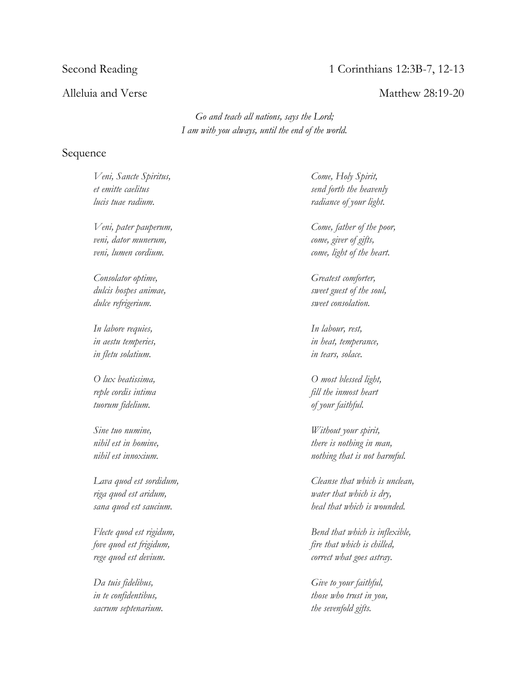# Second Reading 1 Corinthians 12:3B-7, 12-13

### Alleluia and Verse and Verse and Verse Matthew 28:19-20

*Go and teach all nations, says the Lord; I am with you always, until the end of the world.*

## Sequence

*Veni, Sancte Spiritus, et emitte caelitus lucis tuae radium.*

*Veni, pater pauperum, veni, dator munerum, veni, lumen cordium.*

*Consolator optime, dulcis hospes animae, dulce refrigerium.*

*In labore requies, in aestu temperies, in fletu solatium.*

*O lux beatissima, reple cordis intima tuorum fidelium.*

*Sine tuo numine, nihil est in homine, nihil est innoxium.*

*Lava quod est sordidum, riga quod est aridum, sana quod est saucium.*

*Flecte quod est rigidum, fove quod est frigidum, rege quod est devium.*

*Da tuis fidelibus, in te confidentibus, sacrum septenarium.*

*Come, Holy Spirit, send forth the heavenly radiance of your light.*

*Come, father of the poor, come, giver of gifts, come, light of the heart.*

*Greatest comforter, sweet guest of the soul, sweet consolation.*

*In labour, rest, in heat, temperance, in tears, solace.*

*O most blessed light, fill the inmost heart of your faithful.*

*Without your spirit, there is nothing in man, nothing that is not harmful.*

*Cleanse that which is unclean, water that which is dry, heal that which is wounded.*

*Bend that which is inflexible, fire that which is chilled, correct what goes astray.*

*Give to your faithful, those who trust in you, the sevenfold gifts.*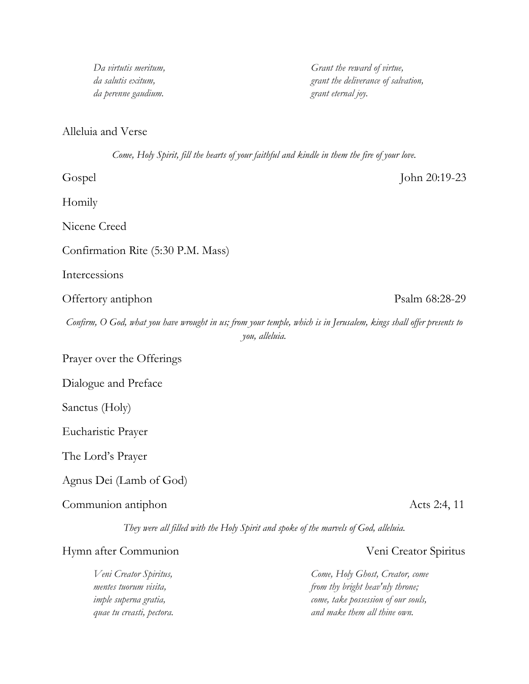| Come, Holy Spirit, fill the hearts of your faithful and kindle in them the fire of your love.                                         |                                 |
|---------------------------------------------------------------------------------------------------------------------------------------|---------------------------------|
| Gospel                                                                                                                                | John 20:19-23                   |
| Homily                                                                                                                                |                                 |
| Nicene Creed                                                                                                                          |                                 |
| Confirmation Rite (5:30 P.M. Mass)                                                                                                    |                                 |
| Intercessions                                                                                                                         |                                 |
| Offertory antiphon                                                                                                                    | Psalm 68:28-29                  |
| Confirm, O God, what you have wrought in us; from your temple, which is in Jerusalem, kings shall offer presents to<br>you, alleluia. |                                 |
| Prayer over the Offerings                                                                                                             |                                 |
| Dialogue and Preface                                                                                                                  |                                 |
| Sanctus (Holy)                                                                                                                        |                                 |
| Eucharistic Prayer                                                                                                                    |                                 |
| The Lord's Prayer                                                                                                                     |                                 |
| Agnus Dei (Lamb of God)                                                                                                               |                                 |
| Communion antiphon                                                                                                                    | Acts 2:4, 11                    |
| They were all filled with the Holy Spirit and spoke of the marvels of God, alleluia.                                                  |                                 |
| Hymn after Communion                                                                                                                  | Veni Creator Spiritus           |
| Veni Creator Spiritus,                                                                                                                | Come, Holy Ghost, Creator, come |

*mentes tuorum visita, imple superna gratia, quae tu creasti, pectora.*

*Da virtutis meritum, da salutis exitum, da perenne gaudium.*

Alleluia and Verse

*from thy bright heav'nly throne; come, take possession of our souls, and make them all thine own.*

*Grant the reward of virtue, grant the deliverance of salvation,*

*grant eternal joy.*